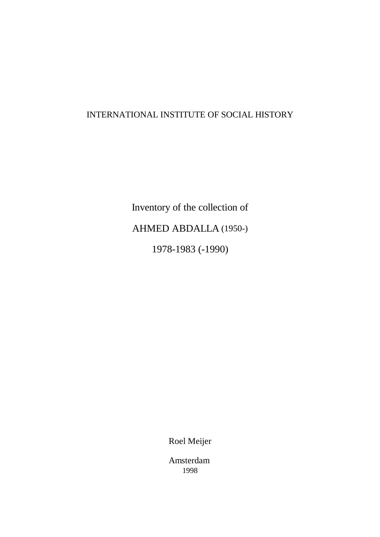# INTERNATIONAL INSTITUTE OF SOCIAL HISTORY

Inventory of the collection of AHMED ABDALLA (1950-) 1978-1983 (-1990)

Roel Meijer

Amsterdam 1998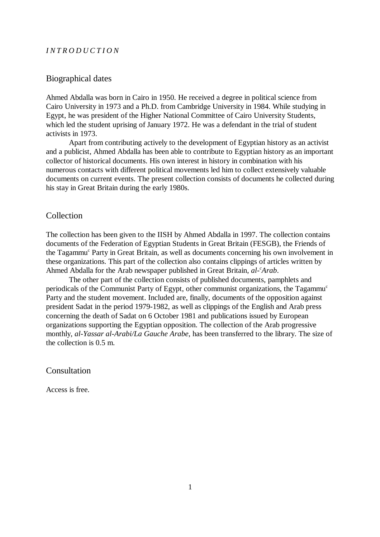#### *INTRODUCTION*

#### Biographical dates

Ahmed Abdalla was born in Cairo in 1950. He received a degree in political science from Cairo University in 1973 and a Ph.D. from Cambridge University in 1984. While studying in Egypt, he was president of the Higher National Committee of Cairo University Students, which led the student uprising of January 1972. He was a defendant in the trial of student activists in 1973.

Apart from contributing actively to the development of Egyptian history as an activist and a publicist, Ahmed Abdalla has been able to contribute to Egyptian history as an important collector of historical documents. His own interest in history in combination with his numerous contacts with different political movements led him to collect extensively valuable documents on current events. The present collection consists of documents he collected during his stay in Great Britain during the early 1980s.

### **Collection**

The collection has been given to the IISH by Ahmed Abdalla in 1997. The collection contains documents of the Federation of Egyptian Students in Great Britain (FESGB), the Friends of the Tagammu<sup>c</sup> Party in Great Britain, as well as documents concerning his own involvement in these organizations. This part of the collection also contains clippings of articles written by Ahmed Abdalla for the Arab newspaper published in Great Britain, *al- Arab*. *<sup>c</sup>*

The other part of the collection consists of published documents, pamphlets and periodicals of the Communist Party of Egypt, other communist organizations, the Tagammu<sup>c</sup> Party and the student movement. Included are, finally, documents of the opposition against president Sadat in the period 1979-1982, as well as clippings of the English and Arab press concerning the death of Sadat on 6 October 1981 and publications issued by European organizations supporting the Egyptian opposition. The collection of the Arab progressive monthly, *al-Yassar al-Arabi/La Gauche Arabe*, has been transferred to the library. The size of the collection is 0.5 m.

#### Consultation

Access is free.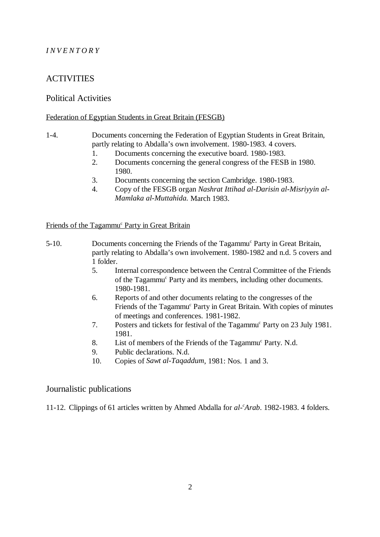# *INVENTORY*

# **ACTIVITIES**

## Political Activities

#### Federation of Egyptian Students in Great Britain (FESGB)

#### 1-4. Documents concerning the Federation of Egyptian Students in Great Britain, partly relating to Abdalla's own involvement. 1980-1983. 4 covers.

- 1. Documents concerning the executive board. 1980-1983.
- 2. Documents concerning the general congress of the FESB in 1980. 1980.
- 3. Documents concerning the section Cambridge. 1980-1983.
- 4. Copy of the FESGB organ *Nashrat Ittihad al-Darisin al-Misriyyin al-Mamlaka al-Muttahida.* March 1983.

Friends of the Tagammu<sup>c</sup> Party in Great Britain

- 5-10. Documents concerning the Friends of the Tagammu<sup>c</sup> Party in Great Britain, partly relating to Abdalla's own involvement. 1980-1982 and n.d. 5 covers and 1 folder.
	- 5. Internal correspondence between the Central Committee of the Friends of the Tagammu<sup>c</sup> Party and its members, including other documents. 1980-1981.
	- 6. Reports of and other documents relating to the congresses of the Friends of the Tagammu<sup>c</sup> Party in Great Britain. With copies of minutes of meetings and conferences. 1981-1982.
	- 7. Posters and tickets for festival of the Tagammu<sup>c</sup> Party on 23 July 1981. 1981.
	- 8. List of members of the Friends of the Tagammu<sup>c</sup> Party. N.d.
	- 9. Public declarations. N.d.
	- 10. Copies of *Sawt al-Taqaddum*, 1981: Nos. 1 and 3.

## Journalistic publications

11-12. Clippings of 61 articles written by Ahmed Abdalla for *al- Arab*. 1982-1983. 4 folders. *<sup>c</sup>*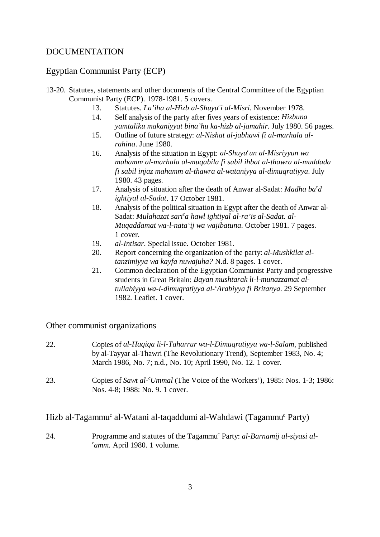# DOCUMENTATION

# Egyptian Communist Party (ECP)

- 13-20. Statutes, statements and other documents of the Central Committee of the Egyptian Communist Party (ECP). 1978-1981. 5 covers.
	- 13. Statutes. *La'iha al-Hizb al-Shuyu<sup>c</sup>i al-Misri*. November 1978.
	- 14. Self analysis of the party after fives years of existence: *Hizbuna yamtaliku makaniyyat bina'hu ka-hizb al-jamahir*. July 1980. 56 pages.
	- 15. Outline of future strategy: *al-Nishat al-jabhawi fi al-marhala alrahina*. June 1980.
	- 16. Analysis of the situation in Egypt: *al-Shuyu<sup>c</sup>un al-Misriyyun wa mahamm al-marhala al-muqabila fi sabil ihbat al-thawra al-muddada fi sabil injaz mahamm al-thawra al-wataniyya al-dimuqratiyya*. July 1980. 43 pages.
	- 17. Analysis of situation after the death of Anwar al-Sadat: *Madha ba<sup>c</sup>d ightiyal al-Sadat*. 17 October 1981.
	- 18. Analysis of the political situation in Egypt after the death of Anwar al-Sadat: *Mulahazat sari<sup>c</sup>a hawl ightiyal al-ra'is al-Sadat. al-Muqaddamat wa-l-nata'ij wa wajibatuna*. October 1981. 7 pages. 1 cover.
	- 19. *al-Intisar*. Special issue. October 1981.
	- 20. Report concerning the organization of the party: *al-Mushkilat altanzimiyya wa kayfa nuwajuha?* N.d. 8 pages. 1 cover.
	- 21. Common declaration of the Egyptian Communist Party and progressive students in Great Britain: *Bayan mushtarak li-l-munazzamat altullabiyya wa-l-dimuqratiyya al- Arabiyya fi Britanya*. 29 September *<sup>c</sup>* 1982. Leaflet. 1 cover.

## Other communist organizations

- 22. Copies of *al-Haqiqa li-l-Taharrur wa-l-Dimuqratiyya wa-l-Salam*, published by al-Tayyar al-Thawri (The Revolutionary Trend), September 1983, No. 4; March 1986, No. 7; n.d., No. 10; April 1990, No. 12. 1 cover.
- 23. Copies of *Sawt al- Ummal* (The Voice of the Workers'), 1985: Nos. 1-3; 1986: *<sup>c</sup>* Nos. 4-8; 1988: No. 9. 1 cover.

## Hizb al-Tagammu<sup>c</sup> al-Watani al-taqaddumi al-Wahdawi (Tagammu<sup>c</sup> Party)

24. Programme and statutes of the Tagammu<sup>c</sup> Party: *al-Barnamij al-siyasi alamm.* April 1980. 1 volume. *<sup>c</sup>*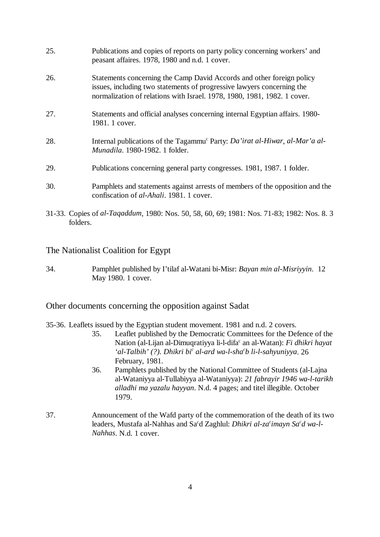| 25. | Publications and copies of reports on party policy concerning workers' and<br>peasant affaires. 1978, 1980 and n.d. 1 cover.                                                                                                |
|-----|-----------------------------------------------------------------------------------------------------------------------------------------------------------------------------------------------------------------------------|
| 26. | Statements concerning the Camp David Accords and other foreign policy<br>issues, including two statements of progressive lawyers concerning the<br>normalization of relations with Israel. 1978, 1980, 1981, 1982. 1 cover. |
| 27. | Statements and official analyses concerning internal Egyptian affairs. 1980-<br>1981. 1 cover.                                                                                                                              |
| 28. | Internal publications of the Tagammu <sup>c</sup> Party: <i>Da'irat al-Hiwar</i> , al-Mar'a al-<br><i>Munadila</i> , 1980-1982, 1 folder.                                                                                   |
| 29. | Publications concerning general party congresses. 1981, 1987. 1 folder.                                                                                                                                                     |
| 30. | Pamphlets and statements against arrests of members of the opposition and the<br>confiscation of <i>al-Ahali</i> . 1981. 1 cover.                                                                                           |

31-33. Copies of *al-Taqaddum*, 1980: Nos. 50, 58, 60, 69; 1981: Nos. 71-83; 1982: Nos. 8. 3 folders.

The Nationalist Coalition for Egypt

34. Pamphlet published by I'tilaf al-Watani bi-Misr: *Bayan min al-Misriyyin*. 12 May 1980. 1 cover.

Other documents concerning the opposition against Sadat

- 35-36. Leaflets issued by the Egyptian student movement. 1981 and n.d. 2 covers.
	- 35. Leaflet published by the Democratic Committees for the Defence of the Nation (al-Lijan al-Dimuqratiyya li-l-difa<sup>c</sup> an al-Watan): *Fi dhikri hayat* 'al-Talbih' (?). Dhikri bi<sup>c</sup> al-ard wa-l-sha<sup>c</sup>b li-l-sahyuniyya. 26 February, 1981.
	- 36. Pamphlets published by the National Committee of Students (al-Lajna al-Wataniyya al-Tullabiyya al-Wataniyya): *21 fabrayir 1946 wa-l-tarikh alladhi ma yazalu hayyan*. N.d. 4 pages; and titel illegible. October 1979.
- 37. Announcement of the Wafd party of the commemoration of the death of its two leaders, Mustafa al-Nahhas and Sa<sup>c</sup>d Zaghlul: *Dhikri al-za<sup>c</sup>imayn Sa<sup>c</sup>d wa-l-Nahhas*. N.d. 1 cover.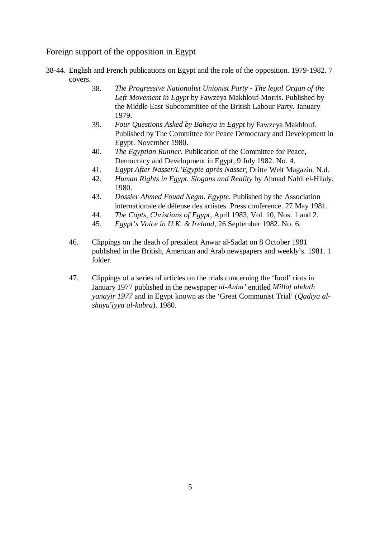# Foreign support of the opposition in Egypt

- 38-44. English and French publications on Egypt and the role of the opposition. 1979-1982. 7 covers.
	- 38. *The Progressive Nationalist Unionist Party The legal Organ of the Left Movement in Egypt* by Fawzeya Makhlouf-Morris. Published by the Middle East Subcommittee of the British Labour Party. January 1979.
	- 39. *Four Questions Asked by Baheya in Egypt* by Fawzeya Makhlouf. Published by The Committee for Peace Democracy and Development in Egypt. November 1980.
	- 40. *The Egyptian Runner*. Publication of the Committee for Peace, Democracy and Development in Egypt, 9 July 1982. No. 4.
	- 41. *Egypt After Nasser/L'Egypte après Nasser*, Dritte Welt Magazin. N.d.
	- 42. *Human Rights in Egypt. Slogans and Reality* by Ahmad Nabil el-Hilaly. 1980.
	- 43. *Dossier Ahmed Fouad Negm. Egypte*. Published by the Association internationale de défense des artistes. Press conference. 27 May 1981.
	- 44. *The Copts, Christians of Egypt*, April 1983, Vol. 10, Nos. 1 and 2.
	- 45. *Egypt's Voice in U.K. & Ireland*, 26 September 1982. No. 6.
	- 46. Clippings on the death of president Anwar al-Sadat on 8 October 1981 published in the British, American and Arab newspapers and weekly's. 1981. 1 folder.
	- 47. Clippings of a series of articles on the trials concerning the 'food' riots in January 1977 published in the newspaper *al-Anba'* entitled *Millaf ahdath yanayir 1977* and in Egypt known as the 'Great Communist Trial' (*Qadiya alshuyu iyya al-kubra*). 1980. *<sup>c</sup>*